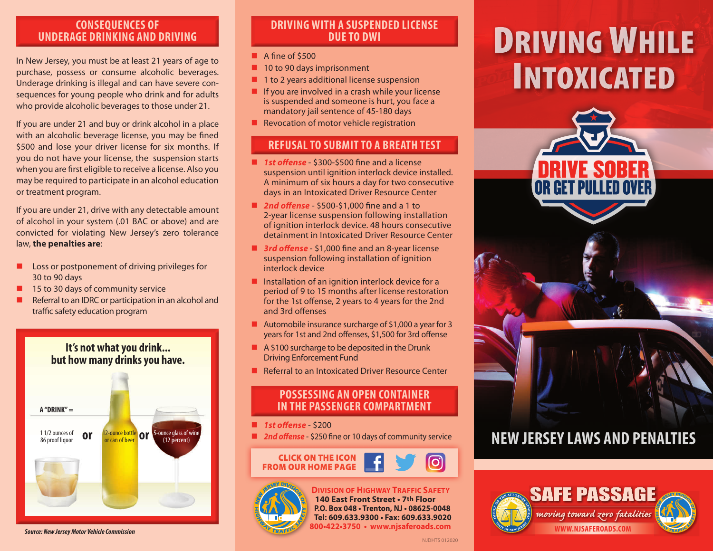# **CONSEQUENCES OF UNDERAGE DRINKING AND DRIVING**

In New Jersey, you must be at least 21 years of age to purchase, possess or consume alcoholic beverages. Underage drinking is illegal and can have severe consequences for young people who drink and for adults who provide alcoholic beverages to those under 21.

If you are under 21 and buy or drink alcohol in a place with an alcoholic beverage license, you may be fined \$500 and lose your driver license for six months. If you do not have your license, the suspension starts when you are first eligible to receive a license. Also you may be required to participate in an alcohol education or treatment program.

If you are under 21, drive with any detectable amount of alcohol in your system (.01 BAC or above) and are convicted for violating New Jersey's zero tolerance law, **the penalties are**:

- $\blacksquare$  Loss or postponement of driving privileges for 30 to 90 days
- 15 to 30 days of community service
- Referral to an IDRC or participation in an alcohol and traffic safety education program

**It's not what you drink... but how many drinks you have. A "DRINK" =** 1 1/2 ounces of **OF** 12-ounce bottle **OF** 5-ounce glass of wine 86 proof liquor or can of beer (12 percent)

*Source: New Jersey Motor Vehicle Commission*

# **DRIVING WITH A SUSPENDED LICENSE DUE TO DWI**

- $\blacksquare$  A fine of \$500
- **n** 10 to 90 days imprisonment
- $\blacksquare$  1 to 2 years additional license suspension
- $\blacksquare$  If you are involved in a crash while your license is suspended and someone is hurt, you face a mandatory jail sentence of 45-180 days
- $\blacksquare$  Revocation of motor vehicle registration

# **REFUSAL TO SUBMIT TO A BREATH TEST**

- 1st offense \$300-\$500 fine and a license suspension until ignition interlock device installed. A minimum of six hours a day for two consecutive days in an Intoxicated Driver Resource Center
- 2nd offense \$500-\$1,000 fine and a 1 to 2-year license suspension following installation of ignition interlock device. 48 hours consecutive detainment in Intoxicated Driver Resource Center
- 3rd offense \$1,000 fine and an 8-year license suspension following installation of ignition interlock device
- $\blacksquare$  Installation of an ignition interlock device for a period of 9 to 15 months after license restoration for the 1st offense, 2 years to 4 years for the 2nd and 3rd offenses
- Automobile insurance surcharge of \$1,000 a year for 3 years for 1st and 2nd offenses, \$1,500 for 3rd offense
- $A $100$  surcharge to be deposited in the Drunk Driving Enforcement Fund
- $\blacksquare$  Referral to an Intoxicated Driver Resource Center

# **POSSESSING AN OPEN CONTAINER IN THE PASSENGER COMPARTMENT**

- **n** *1st offense* \$200
- 2nd offense \$250 fine or 10 days of community service



# **DIVISION OF HIGHWAY TRAFFIC SAFETY**

**800•422•3750 • www.njsaferoads.com 140 East Front Street • 7th Floor P.O. Box 048 • Trenton, NJ • 08625-0048 Tel: 609.633.9300 • Fax: 609.633.9020**

# **DRIVING WHILE INTOXICATED**



# **NEW JERSEY LAWS AND PENALTIES**